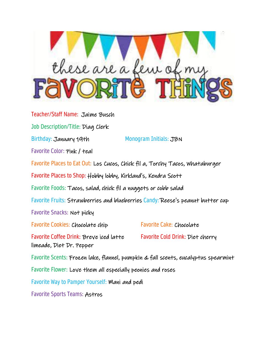

Teacher/Staff Name: Jaime Busch Job Description/Title: Diag Clerk Birthday: January 19th Monogram Initials: JBN Favorite Color: Pink / teal Favorite Places to Eat Out: Los Cucos, Chick fil a, Torchy Tacos, Whataburger Favorite Places to Shop: Hobby lobby, Kirkland's, Kendra Scott Favorite Foods: Tacos, salad, chick fil a nuggets or cobb salad Favorite Fruits: Strawberries and blueberries Candy: Reese's peanut butter cup Favorite Snacks: Not picky Favorite Cookies: Chocolate chip Favorite Cake: Chocolate Favorite Coffee Drink: Breve iced latte Favorite Cold Drink: Diet cherry limeade, Diet Dr. Pepper Favorite Scents: Frozen lake, flannel, pumpkin & fall scents, eucalyptus spearmint Favorite Flower: Love them all especially peonies and roses Favorite Way to Pamper Yourself: Mani and pedi Favorite Sports Teams: Astros